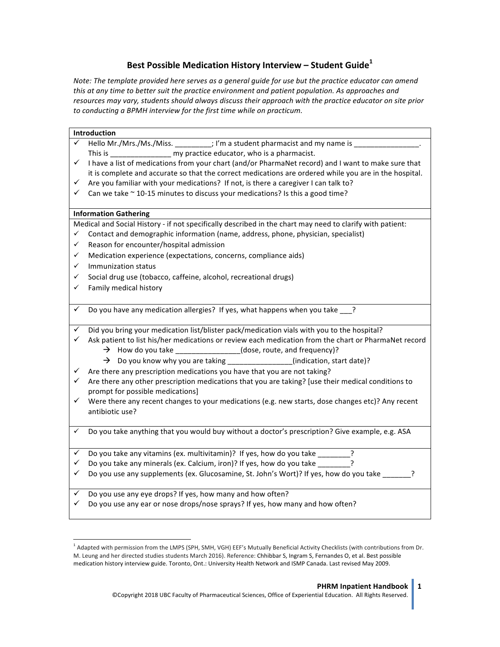## Best Possible Medication History Interview - Student Guide<sup>1</sup>

Note: The template provided here serves as a general guide for use but the practice educator can amend *this* at any time to better suit the practice environment and patient population. As approaches and resources may vary, students should always discuss their approach with the practice educator on site prior *to conducting a BPMH interview for the first time while on practicum.*

| Introduction |                                                                                                           |
|--------------|-----------------------------------------------------------------------------------------------------------|
|              | Hello Mr./Mrs./Ms./Miss. _________; I'm a student pharmacist and my name is                               |
|              | This is _______________________ my practice educator, who is a pharmacist.                                |
| $\checkmark$ | I have a list of medications from your chart (and/or PharmaNet record) and I want to make sure that       |
|              | it is complete and accurate so that the correct medications are ordered while you are in the hospital.    |
| $\checkmark$ | Are you familiar with your medications? If not, is there a caregiver I can talk to?                       |
| ✓            | Can we take $\sim$ 10-15 minutes to discuss your medications? Is this a good time?                        |
|              |                                                                                                           |
|              | <b>Information Gathering</b>                                                                              |
|              | Medical and Social History - if not specifically described in the chart may need to clarify with patient: |
| $\checkmark$ | Contact and demographic information (name, address, phone, physician, specialist)                         |
| $\checkmark$ | Reason for encounter/hospital admission                                                                   |
| $\checkmark$ | Medication experience (expectations, concerns, compliance aids)                                           |
| $\checkmark$ | Immunization status                                                                                       |
| $\checkmark$ | Social drug use (tobacco, caffeine, alcohol, recreational drugs)                                          |
| $\checkmark$ | Family medical history                                                                                    |
|              |                                                                                                           |
| ✓            | Do you have any medication allergies? If yes, what happens when you take ?                                |
|              |                                                                                                           |
| $\checkmark$ | Did you bring your medication list/blister pack/medication vials with you to the hospital?                |
| ✓            | Ask patient to list his/her medications or review each medication from the chart or PharmaNet record      |
|              | $\rightarrow$ How do you take ________________(dose, route, and frequency)?                               |
|              | $\rightarrow$ Do you know why you are taking _______________(indication, start date)?                     |
| $\checkmark$ | Are there any prescription medications you have that you are not taking?                                  |
| ✓            | Are there any other prescription medications that you are taking? [use their medical conditions to        |
|              | prompt for possible medications]                                                                          |
| $\checkmark$ | Were there any recent changes to your medications (e.g. new starts, dose changes etc)? Any recent         |
|              | antibiotic use?                                                                                           |
|              |                                                                                                           |
| $\checkmark$ | Do you take anything that you would buy without a doctor's prescription? Give example, e.g. ASA           |
|              |                                                                                                           |
| $\checkmark$ | Do you take any vitamins (ex. multivitamin)? If yes, how do you take _______?                             |
| ✓            | Do you take any minerals (ex. Calcium, iron)? If yes, how do you take ?                                   |
| $\checkmark$ | Do you use any supplements (ex. Glucosamine, St. John's Wort)? If yes, how do you take ______?            |
|              |                                                                                                           |
| ✓            | Do you use any eye drops? If yes, how many and how often?                                                 |
| ✓            | Do you use any ear or nose drops/nose sprays? If yes, how many and how often?                             |
|              |                                                                                                           |

<sup>&</sup>lt;sup>1</sup> Adapted with permission from the LMPS (SPH, SMH, VGH) EEF's Mutually Beneficial Activity Checklists (with contributions from Dr. M. Leung and her directed studies students March 2016). Reference: Chhibbar S, Ingram S, Fernandes O, et al. Best possible medication history interview guide. Toronto, Ont.: University Health Network and ISMP Canada. Last revised May 2009.